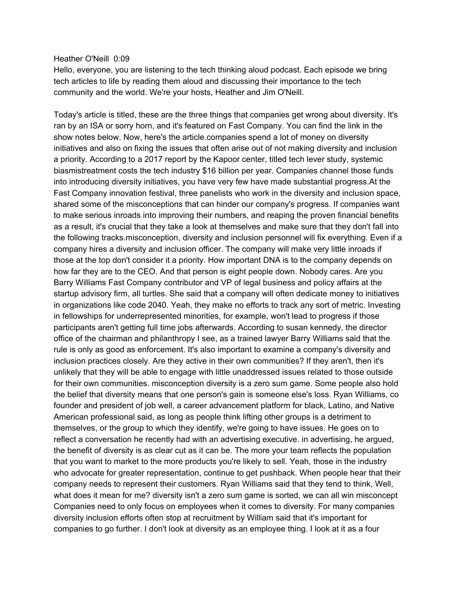#### Heather O'Neill 0:09

Hello, everyone, you are listening to the tech thinking aloud podcast. Each episode we bring tech articles to life by reading them aloud and discussing their importance to the tech community and the world. We're your hosts, Heather and Jim O'Neill.

Today's article is titled, these are the three things that companies get wrong about diversity. It's ran by an ISA or sorry horn, and it's featured on Fast Company. You can find the link in the show notes below. Now, here's the article.companies spend a lot of money on diversity initiatives and also on fixing the issues that often arise out of not making diversity and inclusion a priority. According to a 2017 report by the Kapoor center, titled tech lever study, systemic biasmistreatment costs the tech industry \$16 billion per year. Companies channel those funds into introducing diversity initiatives, you have very few have made substantial progress.At the Fast Company innovation festival, three panelists who work in the diversity and inclusion space, shared some of the misconceptions that can hinder our company's progress. If companies want to make serious inroads into improving their numbers, and reaping the proven financial benefits as a result, it's crucial that they take a look at themselves and make sure that they don't fall into the following tracks.misconception, diversity and inclusion personnel will fix everything. Even if a company hires a diversity and inclusion officer. The company will make very little inroads if those at the top don't consider it a priority. How important DNA is to the company depends on how far they are to the CEO. And that person is eight people down. Nobody cares. Are you Barry Williams Fast Company contributor and VP of legal business and policy affairs at the startup advisory firm, all turtles. She said that a company will often dedicate money to initiatives in organizations like code 2040. Yeah, they make no efforts to track any sort of metric. Investing in fellowships for underrepresented minorities, for example, won't lead to progress if those participants aren't getting full time jobs afterwards. According to susan kennedy, the director office of the chairman and philanthropy I see, as a trained lawyer Barry Williams said that the rule is only as good as enforcement. It's also important to examine a company's diversity and inclusion practices closely. Are they active in their own communities? If they aren't, then it's unlikely that they will be able to engage with little unaddressed issues related to those outside for their own communities. misconception diversity is a zero sum game. Some people also hold the belief that diversity means that one person's gain is someone else's loss. Ryan Williams, co founder and president of job well, a career advancement platform for black, Latino, and Native American professional said, as long as people think lifting other groups is a detriment to themselves, or the group to which they identify, we're going to have issues. He goes on to reflect a conversation he recently had with an advertising executive. in advertising, he argued, the benefit of diversity is as clear cut as it can be. The more your team reflects the population that you want to market to the more products you're likely to sell. Yeah, those in the industry who advocate for greater representation, continue to get pushback. When people hear that their company needs to represent their customers. Ryan Williams said that they tend to think, Well, what does it mean for me? diversity isn't a zero sum game is sorted, we can all win misconcept Companies need to only focus on employees when it comes to diversity. For many companies diversity inclusion efforts often stop at recruitment by William said that it's important for companies to go further. I don't look at diversity as an employee thing. I look at it as a four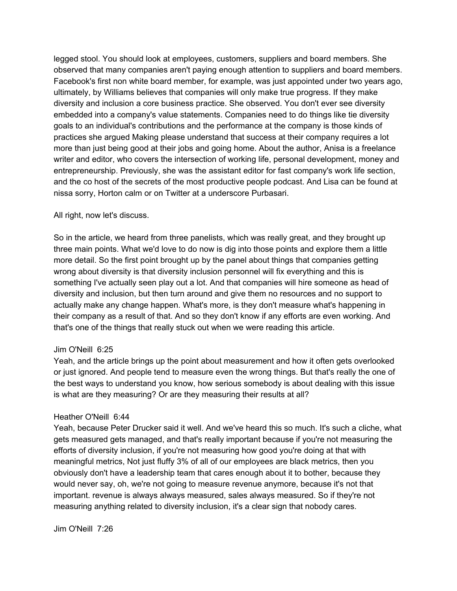legged stool. You should look at employees, customers, suppliers and board members. She observed that many companies aren't paying enough attention to suppliers and board members. Facebook's first non white board member, for example, was just appointed under two years ago, ultimately, by Williams believes that companies will only make true progress. If they make diversity and inclusion a core business practice. She observed. You don't ever see diversity embedded into a company's value statements. Companies need to do things like tie diversity goals to an individual's contributions and the performance at the company is those kinds of practices she argued Making please understand that success at their company requires a lot more than just being good at their jobs and going home. About the author, Anisa is a freelance writer and editor, who covers the intersection of working life, personal development, money and entrepreneurship. Previously, she was the assistant editor for fast company's work life section, and the co host of the secrets of the most productive people podcast. And Lisa can be found at nissa sorry, Horton calm or on Twitter at a underscore Purbasari.

### All right, now let's discuss.

So in the article, we heard from three panelists, which was really great, and they brought up three main points. What we'd love to do now is dig into those points and explore them a little more detail. So the first point brought up by the panel about things that companies getting wrong about diversity is that diversity inclusion personnel will fix everything and this is something I've actually seen play out a lot. And that companies will hire someone as head of diversity and inclusion, but then turn around and give them no resources and no support to actually make any change happen. What's more, is they don't measure what's happening in their company as a result of that. And so they don't know if any efforts are even working. And that's one of the things that really stuck out when we were reading this article.

# Jim O'Neill 6:25

Yeah, and the article brings up the point about measurement and how it often gets overlooked or just ignored. And people tend to measure even the wrong things. But that's really the one of the best ways to understand you know, how serious somebody is about dealing with this issue is what are they measuring? Or are they measuring their results at all?

# Heather O'Neill 6:44

Yeah, because Peter Drucker said it well. And we've heard this so much. It's such a cliche, what gets measured gets managed, and that's really important because if you're not measuring the efforts of diversity inclusion, if you're not measuring how good you're doing at that with meaningful metrics, Not just fluffy 3% of all of our employees are black metrics, then you obviously don't have a leadership team that cares enough about it to bother, because they would never say, oh, we're not going to measure revenue anymore, because it's not that important. revenue is always always measured, sales always measured. So if they're not measuring anything related to diversity inclusion, it's a clear sign that nobody cares.

Jim O'Neill 7:26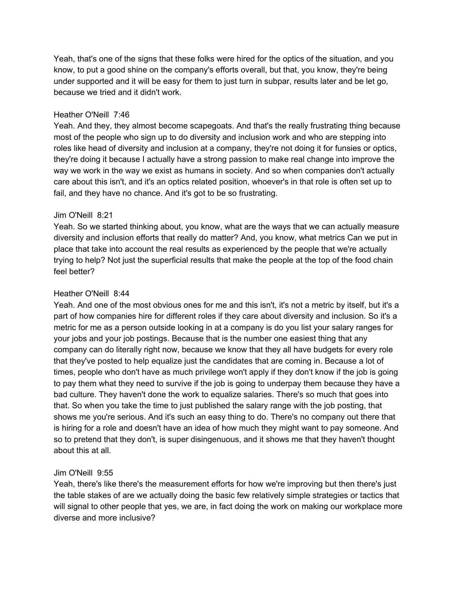Yeah, that's one of the signs that these folks were hired for the optics of the situation, and you know, to put a good shine on the company's efforts overall, but that, you know, they're being under supported and it will be easy for them to just turn in subpar, results later and be let go, because we tried and it didn't work.

# Heather O'Neill 7:46

Yeah. And they, they almost become scapegoats. And that's the really frustrating thing because most of the people who sign up to do diversity and inclusion work and who are stepping into roles like head of diversity and inclusion at a company, they're not doing it for funsies or optics, they're doing it because I actually have a strong passion to make real change into improve the way we work in the way we exist as humans in society. And so when companies don't actually care about this isn't, and it's an optics related position, whoever's in that role is often set up to fail, and they have no chance. And it's got to be so frustrating.

### Jim O'Neill 8:21

Yeah. So we started thinking about, you know, what are the ways that we can actually measure diversity and inclusion efforts that really do matter? And, you know, what metrics Can we put in place that take into account the real results as experienced by the people that we're actually trying to help? Not just the superficial results that make the people at the top of the food chain feel better?

## Heather O'Neill 8:44

Yeah. And one of the most obvious ones for me and this isn't, it's not a metric by itself, but it's a part of how companies hire for different roles if they care about diversity and inclusion. So it's a metric for me as a person outside looking in at a company is do you list your salary ranges for your jobs and your job postings. Because that is the number one easiest thing that any company can do literally right now, because we know that they all have budgets for every role that they've posted to help equalize just the candidates that are coming in. Because a lot of times, people who don't have as much privilege won't apply if they don't know if the job is going to pay them what they need to survive if the job is going to underpay them because they have a bad culture. They haven't done the work to equalize salaries. There's so much that goes into that. So when you take the time to just published the salary range with the job posting, that shows me you're serious. And it's such an easy thing to do. There's no company out there that is hiring for a role and doesn't have an idea of how much they might want to pay someone. And so to pretend that they don't, is super disingenuous, and it shows me that they haven't thought about this at all.

# Jim O'Neill 9:55

Yeah, there's like there's the measurement efforts for how we're improving but then there's just the table stakes of are we actually doing the basic few relatively simple strategies or tactics that will signal to other people that yes, we are, in fact doing the work on making our workplace more diverse and more inclusive?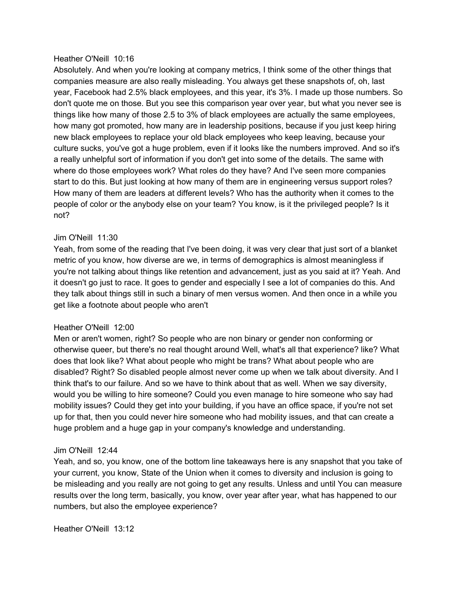#### Heather O'Neill 10:16

Absolutely. And when you're looking at company metrics, I think some of the other things that companies measure are also really misleading. You always get these snapshots of, oh, last year, Facebook had 2.5% black employees, and this year, it's 3%. I made up those numbers. So don't quote me on those. But you see this comparison year over year, but what you never see is things like how many of those 2.5 to 3% of black employees are actually the same employees, how many got promoted, how many are in leadership positions, because if you just keep hiring new black employees to replace your old black employees who keep leaving, because your culture sucks, you've got a huge problem, even if it looks like the numbers improved. And so it's a really unhelpful sort of information if you don't get into some of the details. The same with where do those employees work? What roles do they have? And I've seen more companies start to do this. But just looking at how many of them are in engineering versus support roles? How many of them are leaders at different levels? Who has the authority when it comes to the people of color or the anybody else on your team? You know, is it the privileged people? Is it not?

#### Jim O'Neill 11:30

Yeah, from some of the reading that I've been doing, it was very clear that just sort of a blanket metric of you know, how diverse are we, in terms of demographics is almost meaningless if you're not talking about things like retention and advancement, just as you said at it? Yeah. And it doesn't go just to race. It goes to gender and especially I see a lot of companies do this. And they talk about things still in such a binary of men versus women. And then once in a while you get like a footnote about people who aren't

#### Heather O'Neill 12:00

Men or aren't women, right? So people who are non binary or gender non conforming or otherwise queer, but there's no real thought around Well, what's all that experience? like? What does that look like? What about people who might be trans? What about people who are disabled? Right? So disabled people almost never come up when we talk about diversity. And I think that's to our failure. And so we have to think about that as well. When we say diversity, would you be willing to hire someone? Could you even manage to hire someone who say had mobility issues? Could they get into your building, if you have an office space, if you're not set up for that, then you could never hire someone who had mobility issues, and that can create a huge problem and a huge gap in your company's knowledge and understanding.

#### Jim O'Neill 12:44

Yeah, and so, you know, one of the bottom line takeaways here is any snapshot that you take of your current, you know, State of the Union when it comes to diversity and inclusion is going to be misleading and you really are not going to get any results. Unless and until You can measure results over the long term, basically, you know, over year after year, what has happened to our numbers, but also the employee experience?

Heather O'Neill 13:12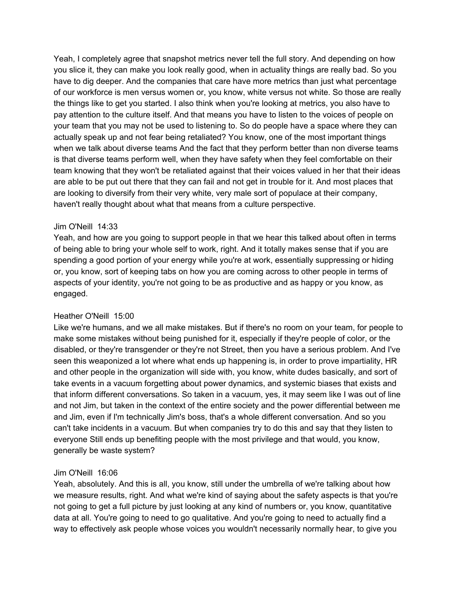Yeah, I completely agree that snapshot metrics never tell the full story. And depending on how you slice it, they can make you look really good, when in actuality things are really bad. So you have to dig deeper. And the companies that care have more metrics than just what percentage of our workforce is men versus women or, you know, white versus not white. So those are really the things like to get you started. I also think when you're looking at metrics, you also have to pay attention to the culture itself. And that means you have to listen to the voices of people on your team that you may not be used to listening to. So do people have a space where they can actually speak up and not fear being retaliated? You know, one of the most important things when we talk about diverse teams And the fact that they perform better than non diverse teams is that diverse teams perform well, when they have safety when they feel comfortable on their team knowing that they won't be retaliated against that their voices valued in her that their ideas are able to be put out there that they can fail and not get in trouble for it. And most places that are looking to diversify from their very white, very male sort of populace at their company, haven't really thought about what that means from a culture perspective.

## Jim O'Neill 14:33

Yeah, and how are you going to support people in that we hear this talked about often in terms of being able to bring your whole self to work, right. And it totally makes sense that if you are spending a good portion of your energy while you're at work, essentially suppressing or hiding or, you know, sort of keeping tabs on how you are coming across to other people in terms of aspects of your identity, you're not going to be as productive and as happy or you know, as engaged.

# Heather O'Neill 15:00

Like we're humans, and we all make mistakes. But if there's no room on your team, for people to make some mistakes without being punished for it, especially if they're people of color, or the disabled, or they're transgender or they're not Street, then you have a serious problem. And I've seen this weaponized a lot where what ends up happening is, in order to prove impartiality, HR and other people in the organization will side with, you know, white dudes basically, and sort of take events in a vacuum forgetting about power dynamics, and systemic biases that exists and that inform different conversations. So taken in a vacuum, yes, it may seem like I was out of line and not Jim, but taken in the context of the entire society and the power differential between me and Jim, even if I'm technically Jim's boss, that's a whole different conversation. And so you can't take incidents in a vacuum. But when companies try to do this and say that they listen to everyone Still ends up benefiting people with the most privilege and that would, you know, generally be waste system?

# Jim O'Neill 16:06

Yeah, absolutely. And this is all, you know, still under the umbrella of we're talking about how we measure results, right. And what we're kind of saying about the safety aspects is that you're not going to get a full picture by just looking at any kind of numbers or, you know, quantitative data at all. You're going to need to go qualitative. And you're going to need to actually find a way to effectively ask people whose voices you wouldn't necessarily normally hear, to give you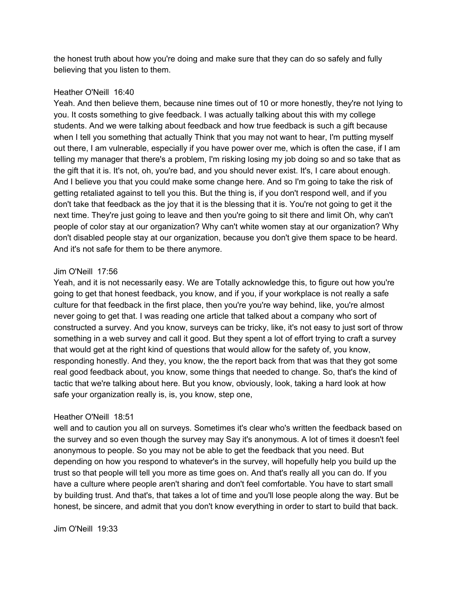the honest truth about how you're doing and make sure that they can do so safely and fully believing that you listen to them.

# Heather O'Neill 16:40

Yeah. And then believe them, because nine times out of 10 or more honestly, they're not lying to you. It costs something to give feedback. I was actually talking about this with my college students. And we were talking about feedback and how true feedback is such a gift because when I tell you something that actually Think that you may not want to hear, I'm putting myself out there, I am vulnerable, especially if you have power over me, which is often the case, if I am telling my manager that there's a problem, I'm risking losing my job doing so and so take that as the gift that it is. It's not, oh, you're bad, and you should never exist. It's, I care about enough. And I believe you that you could make some change here. And so I'm going to take the risk of getting retaliated against to tell you this. But the thing is, if you don't respond well, and if you don't take that feedback as the joy that it is the blessing that it is. You're not going to get it the next time. They're just going to leave and then you're going to sit there and limit Oh, why can't people of color stay at our organization? Why can't white women stay at our organization? Why don't disabled people stay at our organization, because you don't give them space to be heard. And it's not safe for them to be there anymore.

# Jim O'Neill 17:56

Yeah, and it is not necessarily easy. We are Totally acknowledge this, to figure out how you're going to get that honest feedback, you know, and if you, if your workplace is not really a safe culture for that feedback in the first place, then you're you're way behind, like, you're almost never going to get that. I was reading one article that talked about a company who sort of constructed a survey. And you know, surveys can be tricky, like, it's not easy to just sort of throw something in a web survey and call it good. But they spent a lot of effort trying to craft a survey that would get at the right kind of questions that would allow for the safety of, you know, responding honestly. And they, you know, the the report back from that was that they got some real good feedback about, you know, some things that needed to change. So, that's the kind of tactic that we're talking about here. But you know, obviously, look, taking a hard look at how safe your organization really is, is, you know, step one,

# Heather O'Neill 18:51

well and to caution you all on surveys. Sometimes it's clear who's written the feedback based on the survey and so even though the survey may Say it's anonymous. A lot of times it doesn't feel anonymous to people. So you may not be able to get the feedback that you need. But depending on how you respond to whatever's in the survey, will hopefully help you build up the trust so that people will tell you more as time goes on. And that's really all you can do. If you have a culture where people aren't sharing and don't feel comfortable. You have to start small by building trust. And that's, that takes a lot of time and you'll lose people along the way. But be honest, be sincere, and admit that you don't know everything in order to start to build that back.

Jim O'Neill 19:33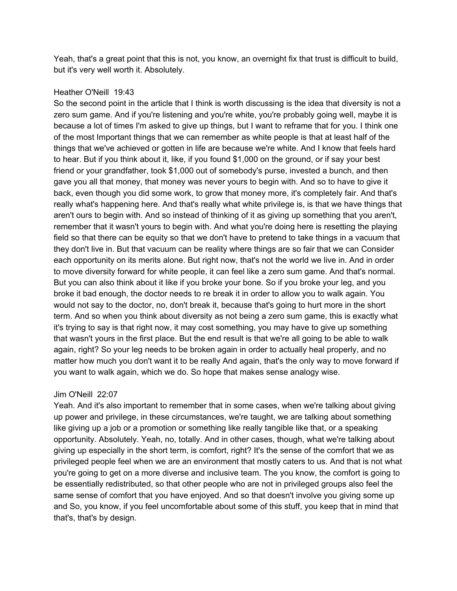Yeah, that's a great point that this is not, you know, an overnight fix that trust is difficult to build, but it's very well worth it. Absolutely.

## Heather O'Neill 19:43

So the second point in the article that I think is worth discussing is the idea that diversity is not a zero sum game. And if you're listening and you're white, you're probably going well, maybe it is because a lot of times I'm asked to give up things, but I want to reframe that for you. I think one of the most Important things that we can remember as white people is that at least half of the things that we've achieved or gotten in life are because we're white. And I know that feels hard to hear. But if you think about it, like, if you found \$1,000 on the ground, or if say your best friend or your grandfather, took \$1,000 out of somebody's purse, invested a bunch, and then gave you all that money, that money was never yours to begin with. And so to have to give it back, even though you did some work, to grow that money more, it's completely fair. And that's really what's happening here. And that's really what white privilege is, is that we have things that aren't ours to begin with. And so instead of thinking of it as giving up something that you aren't, remember that it wasn't yours to begin with. And what you're doing here is resetting the playing field so that there can be equity so that we don't have to pretend to take things in a vacuum that they don't live in. But that vacuum can be reality where things are so fair that we can Consider each opportunity on its merits alone. But right now, that's not the world we live in. And in order to move diversity forward for white people, it can feel like a zero sum game. And that's normal. But you can also think about it like if you broke your bone. So if you broke your leg, and you broke it bad enough, the doctor needs to re break it in order to allow you to walk again. You would not say to the doctor, no, don't break it, because that's going to hurt more in the short term. And so when you think about diversity as not being a zero sum game, this is exactly what it's trying to say is that right now, it may cost something, you may have to give up something that wasn't yours in the first place. But the end result is that we're all going to be able to walk again, right? So your leg needs to be broken again in order to actually heal properly, and no matter how much you don't want it to be really And again, that's the only way to move forward if you want to walk again, which we do. So hope that makes sense analogy wise.

# Jim O'Neill 22:07

Yeah. And it's also important to remember that in some cases, when we're talking about giving up power and privilege, in these circumstances, we're taught, we are talking about something like giving up a job or a promotion or something like really tangible like that, or a speaking opportunity. Absolutely. Yeah, no, totally. And in other cases, though, what we're talking about giving up especially in the short term, is comfort, right? It's the sense of the comfort that we as privileged people feel when we are an environment that mostly caters to us. And that is not what you're going to get on a more diverse and inclusive team. The you know, the comfort is going to be essentially redistributed, so that other people who are not in privileged groups also feel the same sense of comfort that you have enjoyed. And so that doesn't involve you giving some up and So, you know, if you feel uncomfortable about some of this stuff, you keep that in mind that that's, that's by design.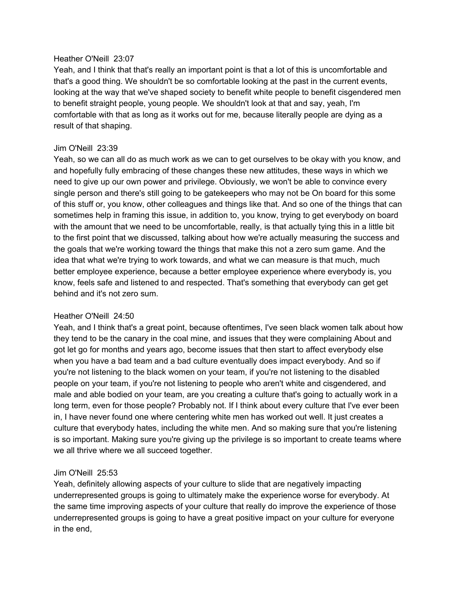### Heather O'Neill 23:07

Yeah, and I think that that's really an important point is that a lot of this is uncomfortable and that's a good thing. We shouldn't be so comfortable looking at the past in the current events, looking at the way that we've shaped society to benefit white people to benefit cisgendered men to benefit straight people, young people. We shouldn't look at that and say, yeah, I'm comfortable with that as long as it works out for me, because literally people are dying as a result of that shaping.

# Jim O'Neill 23:39

Yeah, so we can all do as much work as we can to get ourselves to be okay with you know, and and hopefully fully embracing of these changes these new attitudes, these ways in which we need to give up our own power and privilege. Obviously, we won't be able to convince every single person and there's still going to be gatekeepers who may not be On board for this some of this stuff or, you know, other colleagues and things like that. And so one of the things that can sometimes help in framing this issue, in addition to, you know, trying to get everybody on board with the amount that we need to be uncomfortable, really, is that actually tying this in a little bit to the first point that we discussed, talking about how we're actually measuring the success and the goals that we're working toward the things that make this not a zero sum game. And the idea that what we're trying to work towards, and what we can measure is that much, much better employee experience, because a better employee experience where everybody is, you know, feels safe and listened to and respected. That's something that everybody can get get behind and it's not zero sum.

# Heather O'Neill 24:50

Yeah, and I think that's a great point, because oftentimes, I've seen black women talk about how they tend to be the canary in the coal mine, and issues that they were complaining About and got let go for months and years ago, become issues that then start to affect everybody else when you have a bad team and a bad culture eventually does impact everybody. And so if you're not listening to the black women on your team, if you're not listening to the disabled people on your team, if you're not listening to people who aren't white and cisgendered, and male and able bodied on your team, are you creating a culture that's going to actually work in a long term, even for those people? Probably not. If I think about every culture that I've ever been in, I have never found one where centering white men has worked out well. It just creates a culture that everybody hates, including the white men. And so making sure that you're listening is so important. Making sure you're giving up the privilege is so important to create teams where we all thrive where we all succeed together.

# Jim O'Neill 25:53

Yeah, definitely allowing aspects of your culture to slide that are negatively impacting underrepresented groups is going to ultimately make the experience worse for everybody. At the same time improving aspects of your culture that really do improve the experience of those underrepresented groups is going to have a great positive impact on your culture for everyone in the end,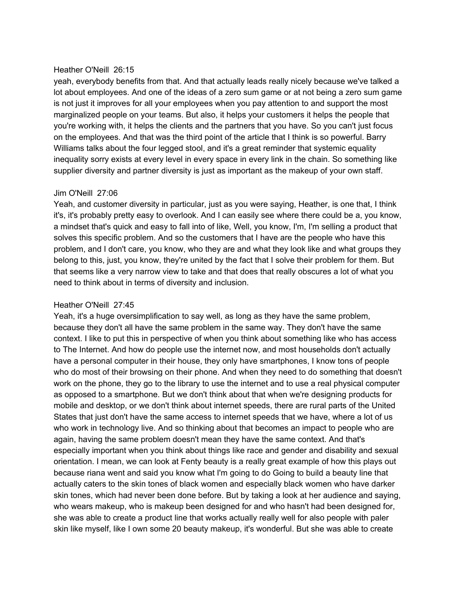### Heather O'Neill 26:15

yeah, everybody benefits from that. And that actually leads really nicely because we've talked a lot about employees. And one of the ideas of a zero sum game or at not being a zero sum game is not just it improves for all your employees when you pay attention to and support the most marginalized people on your teams. But also, it helps your customers it helps the people that you're working with, it helps the clients and the partners that you have. So you can't just focus on the employees. And that was the third point of the article that I think is so powerful. Barry Williams talks about the four legged stool, and it's a great reminder that systemic equality inequality sorry exists at every level in every space in every link in the chain. So something like supplier diversity and partner diversity is just as important as the makeup of your own staff.

### Jim O'Neill 27:06

Yeah, and customer diversity in particular, just as you were saying, Heather, is one that, I think it's, it's probably pretty easy to overlook. And I can easily see where there could be a, you know, a mindset that's quick and easy to fall into of like, Well, you know, I'm, I'm selling a product that solves this specific problem. And so the customers that I have are the people who have this problem, and I don't care, you know, who they are and what they look like and what groups they belong to this, just, you know, they're united by the fact that I solve their problem for them. But that seems like a very narrow view to take and that does that really obscures a lot of what you need to think about in terms of diversity and inclusion.

# Heather O'Neill 27:45

Yeah, it's a huge oversimplification to say well, as long as they have the same problem, because they don't all have the same problem in the same way. They don't have the same context. I like to put this in perspective of when you think about something like who has access to The Internet. And how do people use the internet now, and most households don't actually have a personal computer in their house, they only have smartphones, I know tons of people who do most of their browsing on their phone. And when they need to do something that doesn't work on the phone, they go to the library to use the internet and to use a real physical computer as opposed to a smartphone. But we don't think about that when we're designing products for mobile and desktop, or we don't think about internet speeds, there are rural parts of the United States that just don't have the same access to internet speeds that we have, where a lot of us who work in technology live. And so thinking about that becomes an impact to people who are again, having the same problem doesn't mean they have the same context. And that's especially important when you think about things like race and gender and disability and sexual orientation. I mean, we can look at Fenty beauty is a really great example of how this plays out because riana went and said you know what I'm going to do Going to build a beauty line that actually caters to the skin tones of black women and especially black women who have darker skin tones, which had never been done before. But by taking a look at her audience and saying, who wears makeup, who is makeup been designed for and who hasn't had been designed for, she was able to create a product line that works actually really well for also people with paler skin like myself, like I own some 20 beauty makeup, it's wonderful. But she was able to create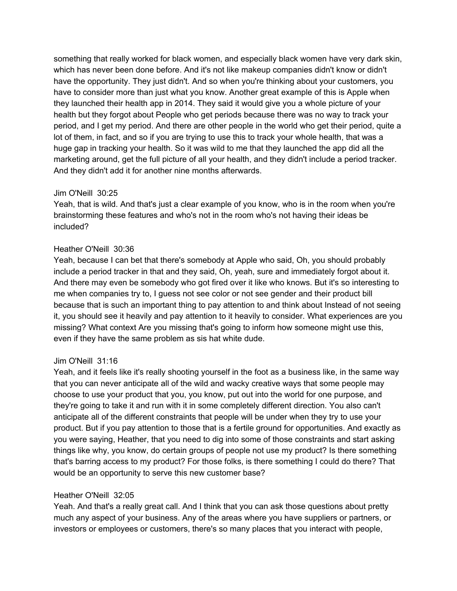something that really worked for black women, and especially black women have very dark skin, which has never been done before. And it's not like makeup companies didn't know or didn't have the opportunity. They just didn't. And so when you're thinking about your customers, you have to consider more than just what you know. Another great example of this is Apple when they launched their health app in 2014. They said it would give you a whole picture of your health but they forgot about People who get periods because there was no way to track your period, and I get my period. And there are other people in the world who get their period, quite a lot of them, in fact, and so if you are trying to use this to track your whole health, that was a huge gap in tracking your health. So it was wild to me that they launched the app did all the marketing around, get the full picture of all your health, and they didn't include a period tracker. And they didn't add it for another nine months afterwards.

# Jim O'Neill 30:25

Yeah, that is wild. And that's just a clear example of you know, who is in the room when you're brainstorming these features and who's not in the room who's not having their ideas be included?

# Heather O'Neill 30:36

Yeah, because I can bet that there's somebody at Apple who said, Oh, you should probably include a period tracker in that and they said, Oh, yeah, sure and immediately forgot about it. And there may even be somebody who got fired over it like who knows. But it's so interesting to me when companies try to, I guess not see color or not see gender and their product bill because that is such an important thing to pay attention to and think about Instead of not seeing it, you should see it heavily and pay attention to it heavily to consider. What experiences are you missing? What context Are you missing that's going to inform how someone might use this, even if they have the same problem as sis hat white dude.

# Jim O'Neill 31:16

Yeah, and it feels like it's really shooting yourself in the foot as a business like, in the same way that you can never anticipate all of the wild and wacky creative ways that some people may choose to use your product that you, you know, put out into the world for one purpose, and they're going to take it and run with it in some completely different direction. You also can't anticipate all of the different constraints that people will be under when they try to use your product. But if you pay attention to those that is a fertile ground for opportunities. And exactly as you were saying, Heather, that you need to dig into some of those constraints and start asking things like why, you know, do certain groups of people not use my product? Is there something that's barring access to my product? For those folks, is there something I could do there? That would be an opportunity to serve this new customer base?

# Heather O'Neill 32:05

Yeah. And that's a really great call. And I think that you can ask those questions about pretty much any aspect of your business. Any of the areas where you have suppliers or partners, or investors or employees or customers, there's so many places that you interact with people,